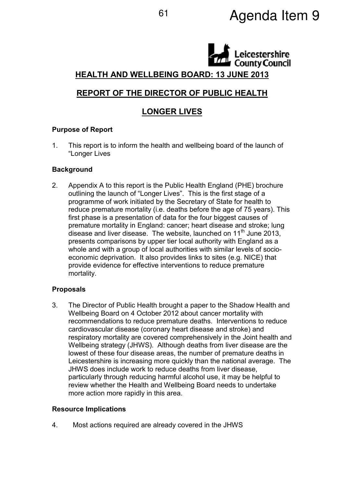# <sup>61</sup> Agenda Item 9

# eicestershire **County Council** HEALTH AND WELLBEING BOARD: 13 JUNE 2013

# REPORT OF THE DIRECTOR OF PUBLIC HEALTH

# LONGER LIVES

# Purpose of Report

1. This report is to inform the health and wellbeing board of the launch of "Longer Lives

### **Background**

2. Appendix A to this report is the Public Health England (PHE) brochure outlining the launch of "Longer Lives". This is the first stage of a programme of work initiated by the Secretary of State for health to reduce premature mortality (i.e. deaths before the age of 75 years). This first phase is a presentation of data for the four biggest causes of premature mortality in England: cancer; heart disease and stroke; lung disease and liver disease. The website, launched on 11<sup>th</sup> June 2013, presents comparisons by upper tier local authority with England as a whole and with a group of local authorities with similar levels of socioeconomic deprivation. It also provides links to sites (e.g. NICE) that provide evidence for effective interventions to reduce premature mortality.

# Proposals

3. The Director of Public Health brought a paper to the Shadow Health and Wellbeing Board on 4 October 2012 about cancer mortality with recommendations to reduce premature deaths. Interventions to reduce cardiovascular disease (coronary heart disease and stroke) and respiratory mortality are covered comprehensively in the Joint health and Wellbeing strategy (JHWS). Although deaths from liver disease are the lowest of these four disease areas, the number of premature deaths in Leicestershire is increasing more quickly than the national average. The JHWS does include work to reduce deaths from liver disease, particularly through reducing harmful alcohol use, it may be helpful to review whether the Health and Wellbeing Board needs to undertake more action more rapidly in this area.

#### Resource Implications

4. Most actions required are already covered in the JHWS